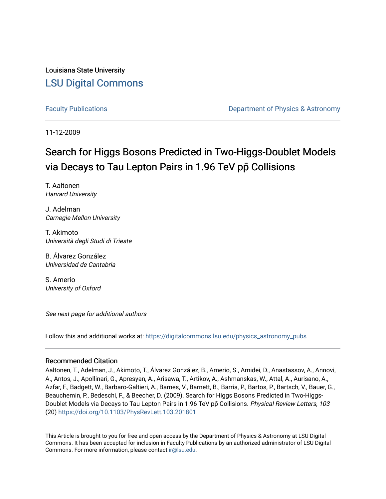Louisiana State University [LSU Digital Commons](https://digitalcommons.lsu.edu/)

[Faculty Publications](https://digitalcommons.lsu.edu/physics_astronomy_pubs) **Example 2** Constant Department of Physics & Astronomy

11-12-2009

## Search for Higgs Bosons Predicted in Two-Higgs-Doublet Models via Decays to Tau Lepton Pairs in 1.96 TeV pp Collisions

T. Aaltonen Harvard University

J. Adelman Carnegie Mellon University

T. Akimoto Università degli Studi di Trieste

B. Álvarez González Universidad de Cantabria

S. Amerio University of Oxford

See next page for additional authors

Follow this and additional works at: [https://digitalcommons.lsu.edu/physics\\_astronomy\\_pubs](https://digitalcommons.lsu.edu/physics_astronomy_pubs?utm_source=digitalcommons.lsu.edu%2Fphysics_astronomy_pubs%2F2425&utm_medium=PDF&utm_campaign=PDFCoverPages) 

## Recommended Citation

Aaltonen, T., Adelman, J., Akimoto, T., Álvarez González, B., Amerio, S., Amidei, D., Anastassov, A., Annovi, A., Antos, J., Apollinari, G., Apresyan, A., Arisawa, T., Artikov, A., Ashmanskas, W., Attal, A., Aurisano, A., Azfar, F., Badgett, W., Barbaro-Galtieri, A., Barnes, V., Barnett, B., Barria, P., Bartos, P., Bartsch, V., Bauer, G., Beauchemin, P., Bedeschi, F., & Beecher, D. (2009). Search for Higgs Bosons Predicted in Two-Higgs-Doublet Models via Decays to Tau Lepton Pairs in 1.96 TeV pp̄ Collisions. Physical Review Letters, 103 (20) <https://doi.org/10.1103/PhysRevLett.103.201801>

This Article is brought to you for free and open access by the Department of Physics & Astronomy at LSU Digital Commons. It has been accepted for inclusion in Faculty Publications by an authorized administrator of LSU Digital Commons. For more information, please contact [ir@lsu.edu](mailto:ir@lsu.edu).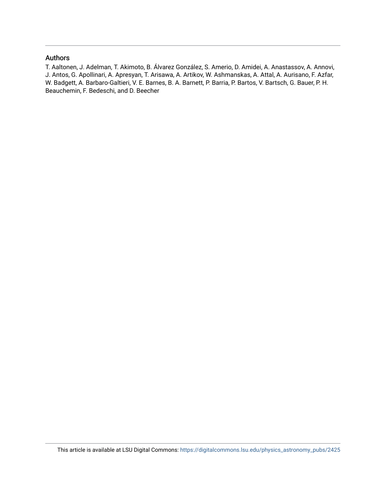## Authors

T. Aaltonen, J. Adelman, T. Akimoto, B. Álvarez González, S. Amerio, D. Amidei, A. Anastassov, A. Annovi, J. Antos, G. Apollinari, A. Apresyan, T. Arisawa, A. Artikov, W. Ashmanskas, A. Attal, A. Aurisano, F. Azfar, W. Badgett, A. Barbaro-Galtieri, V. E. Barnes, B. A. Barnett, P. Barria, P. Bartos, V. Bartsch, G. Bauer, P. H. Beauchemin, F. Bedeschi, and D. Beecher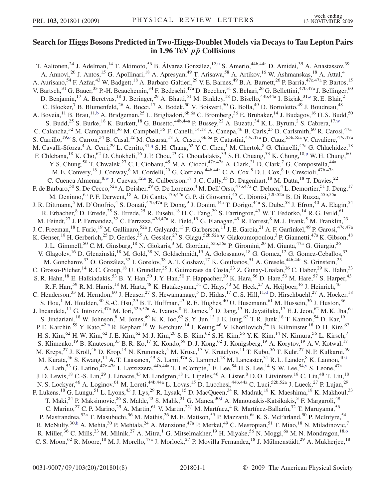## Search for Higgs Bosons Predicted in Two-Higgs-Doublet Models via Decays to Tau Lepton Pairs in 1.96 TeV  $p\bar{p}$  Collisions

<span id="page-2-12"></span><span id="page-2-11"></span><span id="page-2-10"></span><span id="page-2-9"></span><span id="page-2-8"></span><span id="page-2-7"></span><span id="page-2-6"></span><span id="page-2-5"></span><span id="page-2-4"></span><span id="page-2-3"></span><span id="page-2-2"></span><span id="page-2-1"></span><span id="page-2-0"></span>T. Aaltonen,<s[u](#page-8-0)p>24</sup> J. Adelman,<sup>14</sup> T. Akimoto,<sup>56</sup> B. Álvarez González,<sup>12,u</sup> S. Amerio,<sup>44b,44a</sup> D. Amidei,<sup>35</sup> A. Anastassov,<sup>39</sup> A. Annovi,<sup>20</sup> J. Antos,<sup>15</sup> G. Apollinari,<sup>18</sup> A. Apresyan,<sup>49</sup> T. Arisawa,<sup>58</sup> A. Artikov,<sup>16</sup> W. Ashmanskas,<sup>18</sup> A. Attal,<sup>4</sup> A. Aurisano,<sup>54</sup> F. Azfar,<sup>43</sup> W. Badgett,<sup>18</sup> A. Barbaro-Galtieri,<sup>29</sup> V. E. Barnes,<sup>49</sup> B. A. Barnett,<sup>26</sup> P. Barria,<sup>47c,47a</sup> P. Bartos,<sup>15</sup> V. Bartsch,<sup>31</sup> G. Bauer,<sup>33</sup> P.-H. Beauchemin,<sup>34</sup> F. Bedeschi,<sup>47a</sup> D. Beecher,<sup>31</sup> S. Behari,<sup>26</sup> G. Bellettini,<sup>47b,47a</sup> J. Bellinger,<sup>60</sup> D. Benjamin,<sup>17</sup> A. Beretvas,<sup>18</sup> J. Beringer,<sup>29</sup> A. Bhatti,<sup>51</sup> M. Binkley,<sup>18</sup> D. Bisello,<sup>44b,44a</sup> I. Bizjak,<sup>31[,z](#page-8-1)</sup> R. E. Blair,<sup>2</sup> C. Blocker,<sup>7</sup> B. Blumenfeld,<sup>26</sup> A. Bocci,<sup>17</sup> A. Bodek,<sup>50</sup> V. Boisvert,<sup>50</sup> G. Bolla,<sup>49</sup> D. Bortoletto,<sup>49</sup> J. Boudreau,<sup>48</sup> A. Boveia,<sup>11</sup> B. Brau,<sup>11,[b](#page-8-2)</sup> A. Bridgeman,<sup>25</sup> L. Brigliadori,<sup>6b,6a</sup> C. Bromberg,<sup>36</sup> E. Brubaker,<sup>14</sup> J. Budagov,<sup>16</sup> H. S. Budd,<sup>50</sup> S. Budd,<sup>25</sup> S. Burke,<sup>18</sup> K. Burkett,<sup>18</sup> G. Busetto,<sup>44b,44a</sup> P. Bussey,<sup>22</sup> A. Buzatu,<sup>34</sup> K. L. Byrum,<sup>2</sup> S. Cabrera,<sup>17,[w](#page-8-3)</sup> C. Calancha,<sup>32</sup> M. Campanelli,<sup>36</sup> M. Campbell,<sup>35</sup> F. Canelli,<sup>14,18</sup> A. Canepa,<sup>46</sup> B. Carls,<sup>25</sup> D. Carlsmith,<sup>60</sup> R. Carosi,<sup>47a</sup> S. Carrillo,<sup>19[,o](#page-8-4)</sup> S. Carron,<sup>34</sup> B. Casal,<sup>12</sup> M. Casarsa,<sup>18</sup> A. Castro,<sup>6b,6a</sup> P. Catastini,<sup>47c,47a</sup> D. Cauz,<sup>55b,55a</sup> V. Cavaliere,<sup>47c,47a</sup> M. Cavalli-Sforza,<sup>4</sup> A. Cerri,<sup>29</sup> L. Cerrito,<sup>31[,q](#page-8-5)</sup> S. H. Chang,<sup>62</sup> Y. C. Chen,<sup>1</sup> M. Chertok,<sup>8</sup> G. Chiarelli,<sup>47a</sup> G. Chlachidze,<sup>18</sup> F. Chlebana, <su[p](#page-8-6)>18</sup> K. Cho, <sup>62</sup> D. Chokheli, <sup>16</sup> J. P. Chou, <sup>23</sup> G. Choudalakis, <sup>33</sup> S. H. Chuang, <sup>53</sup> K. Chung, <sup>18,p</sup> W. H. Chung, <sup>60</sup> Y. S. Chung,<sup>50</sup> T. Chwalek,<sup>27</sup> C. I. Ciobanu,<sup>45</sup> M. A. Ciocci,<sup>47c,47a</sup> A. Clark,<sup>21</sup> D. Clark,<sup>7</sup> G. Compostella,<sup>44a</sup> M. E. Convery, <sup>18</sup> J. Conway, <sup>8</sup> M. Cordelli, <sup>20</sup> G. Cortiana, <sup>44b, 44a</sup> C. A. Cox, <sup>8</sup> D. J. Cox, <sup>8</sup> F. Crescioli, <sup>47b, 47a</sup> C. Cuenca Almenar,<sup>8[,w](#page-8-3)</sup> J. Cuevas,<sup>12[,u](#page-8-0)</sup> R. Culbertson,<sup>18</sup> J. C. Cully,<sup>35</sup> D. Dagenhart,<sup>18</sup> M. Datta,<sup>18</sup> T. Davies,<sup>22</sup> P. de Barbaro,<sup>50</sup> S. De Cecco,<sup>52a</sup> A. Deisher,<sup>29</sup> G. De Lorenzo,<sup>4</sup> M. Dell'Orso,<sup>47b,47a</sup> C. Deluca,<sup>4</sup> L. Demortier,<sup>51</sup> J. Deng,<sup>17</sup> M. Deninno,<sup>6a</sup> P. F. Derwent,<sup>18</sup> A. Di Canto,<sup>47b,47a</sup> G. P. di Giovanni,<sup>45</sup> C. Dionisi,<sup>52b,52a</sup> B. Di Ruzza,<sup>55b,55a</sup> J. R. Dittmann,<sup>5</sup> M. D'Onofrio,<sup>4</sup> S. Donati,<sup>47b,47a</sup> P. Dong,<sup>9</sup> J. Donini,<sup>44a</sup> T. Dorigo,<sup>44a</sup> S. Dube,<sup>53</sup> J. Efron,<sup>40</sup> A. Elagin,<sup>54</sup> R. Erbacher,  $8$  D. Errede,  $25$  S. Errede,  $25$  R. Eusebi,  $^{18}$  H. C. Fang,  $^{29}$  S. Farrington,  $^{43}$  W. T. Fedorko,  $^{14}$  R. G. Feild,  $^{61}$ M. Feindt,<sup>27</sup> J. P. Fernandez,<sup>32</sup> C. Ferrazza,<sup>47d,47a</sup> R. Field,<sup>19</sup> G. Flanagan,<sup>49</sup> R. Forrest,<sup>8</sup> M. J. Frank,<sup>5</sup> M. Franklin,<sup>23</sup> J. C. Freeman, <sup>18</sup> I. Furic, <sup>19</sup> M. Gallinaro, <sup>52a</sup> J. Galyardt, <sup>13</sup> F. Garberson, <sup>11</sup> J. E. Garcia, <sup>21</sup> A. F. Garfinkel, <sup>49</sup> P. Garosi, <sup>47c, 47a</sup> K. Genser,<sup>18</sup> H. Gerberich,<sup>25</sup> D. Gerdes,<sup>35</sup> A. Gessler,<sup>27</sup> S. Giagu,<sup>52b,52a</sup> V. Giakoumopoulou,<sup>3</sup> P. Giannetti,<sup>47a</sup> K. Gibson,<sup>48</sup> J. L. Gimmell,<sup>50</sup> C. M. Ginsburg,<sup>18</sup> N. Giokaris,<sup>3</sup> M. Giordani,<sup>55b,55a</sup> P. Giromini,<sup>20</sup> M. Giunta,<sup>47a</sup> G. Giurgiu,<sup>26</sup> V. Glagolev,<sup>16</sup> D. Glenzinski,<sup>18</sup> M. Gold,<sup>38</sup> N. Goldschmidt,<sup>19</sup> A. Golossanov,<sup>18</sup> G. Gomez,<sup>12</sup> G. Gomez-Ceballos,<sup>33</sup> M. Goncharov,<sup>33</sup> O. González,<sup>32</sup> I. Gorelov,<sup>38</sup> A. T. Goshaw,<sup>17</sup> K. Goulianos,<sup>51</sup> A. Gresele,<sup>44b,44a</sup> S. Grinstein,<sup>23</sup> C. Grosso-Pilcher, <sup>14</sup> R. C. Group, <sup>18</sup> U. Grundler, <sup>25</sup> J. Guimaraes da Costa, <sup>23</sup> Z. Gunay-Unalan, <sup>36</sup> C. Haber, <sup>29</sup> K. Hahn, <sup>33</sup> S. R. Hahn,<sup>18</sup> E. Halkiadakis,<sup>53</sup> B.-Y. Han,<sup>50</sup> J. Y. Han,<sup>50</sup> F. Happacher,<sup>20</sup> K. Hara,<sup>56</sup> D. Hare,<sup>53</sup> M. Hare,<sup>57</sup> S. Harper,<sup>43</sup> R. F. Harr,<sup>59</sup> R. M. Harris,<sup>18</sup> M. Hartz,<sup>48</sup> K. Hatakeyama,<sup>51</sup> C. Hays,<sup>43</sup> M. Heck,<sup>27</sup> A. Heijboer,<sup>46</sup> J. Heinrich,<sup>46</sup> C. Henderson,<sup>33</sup> M. Herndon,<sup>60</sup> J. Heuser,<sup>27</sup> S. Hewamanage,<sup>5</sup> D. Hidas,<sup>17</sup> C. S. Hill,<sup>11[,d](#page-8-7)</sup> D. Hirschbuehl,<sup>27</sup> A. Hocker,<sup>18</sup> S. Hou,<sup>1</sup> M. Houlden,<sup>30</sup> S.-C. Hsu,<sup>29</sup> B. T. Huffman,<sup>43</sup> R. E. Hughes,<sup>40</sup> U. Husemann,<sup>61</sup> M. Hussein,<sup>36</sup> J. Huston,<sup>36</sup> J. Incandela,<sup>11</sup> G. Introzzi,<sup>47a</sup> M. Iori,<sup>52b,52a</sup> A. Ivanov,<sup>8</sup> E. James,<sup>18</sup> D. Jang,<sup>13</sup> B. Jayatilaka,<sup>17</sup> E. J. Jeon,<sup>62</sup> M. K. Jha,<sup>6a</sup> S. Jindariani,<sup>18</sup> W. Johnson,<sup>8</sup> M. Jones,<sup>49</sup> K. K. Joo,<sup>62</sup> S. Y. Jun,<sup>13</sup> J. E. Jung,<sup>62</sup> T. R. Junk,<sup>18</sup> T. Kamon,<sup>54</sup> D. Kar,<sup>19</sup> P. E. Karchi[n](#page-8-8),<sup>59</sup> Y. Kato,<sup>42,n</sup> R. Kephart,<sup>18</sup> W. Ketchum,<sup>14</sup> J. Keung,<sup>46</sup> V. Khotilovich,<sup>54</sup> B. Kilminster,<sup>18</sup> D. H. Kim,<sup>62</sup> H. S. Kim,<sup>62</sup> H. W. Kim,<sup>62</sup> J. E. Kim,<sup>62</sup> M. J. Kim,<sup>20</sup> S. B. Kim,<sup>62</sup> S. H. Kim,<sup>56</sup> Y. K. Kim,<sup>14</sup> N. Kimura,<sup>56</sup> L. Kirsch,<sup>7</sup> S. Klimenko,<sup>19</sup> B. Knuteson,<sup>33</sup> B. R. Ko,<sup>17</sup> K. Kondo,<sup>58</sup> D. J. Kong,<sup>62</sup> J. Konigsberg,<sup>19</sup> A. Korytov,<sup>19</sup> A. V. Kotwal,<sup>17</sup> M. Kreps,<sup>27</sup> J. Kroll,<sup>46</sup> D. Krop,<sup>14</sup> N. Krumnack,<sup>5</sup> M. Kruse,<sup>17</sup> V. Krutelyov,<sup>11</sup> T. Kubo,<sup>56</sup> T. Kuhr,<sup>27</sup> N. P. Kulkarni,<sup>59</sup> M. Kura[t](#page-8-9)a,<sup>56</sup> S. Kwang,<sup>14</sup> A. T. Laasanen,<sup>49</sup> S. Lami,<sup>47a</sup> S. Lammel,<sup>18</sup> M. Lancaster,<sup>31</sup> R. L. Lander,<sup>8</sup> K. Lannon,<sup>40,t</sup> A. Lath,<sup>53</sup> G. Latino,<sup>47c,47a</sup> I. Lazzizzera,<sup>44b,44a</sup> T. LeCompte,<sup>2</sup> E. Lee,<sup>54</sup> H. S. Lee,<sup>14</sup> S. W. Lee,<sup>54,[v](#page-8-10)</sup> S. Leone,<sup>47a</sup> J. D. Lewis,<sup>18</sup> C.-S. Lin,<sup>29</sup> J. Linacre,<sup>43</sup> M. Lindgren,<sup>18</sup> E. Lipeles,<sup>46</sup> A. Lister,<sup>8</sup> D. O. Litvintsev,<sup>18</sup> C. Liu,<sup>48</sup> T. Liu,<sup>18</sup> N. S. Lockyer,<sup>46</sup> A. Loginov,<sup>61</sup> M. Loreti,<sup>44b,44a</sup> L. Lovas,<sup>15</sup> D. Lucchesi,<sup>44b,44a</sup> C. Luci,<sup>52b,52a</sup> J. Lueck,<sup>27</sup> P. Lujan,<sup>29</sup> P. Lukens,<sup>18</sup> G. Lungu,<sup>51</sup> L. Lyons,<sup>43</sup> J. Lys,<sup>29</sup> R. Lysak,<sup>15</sup> D. MacQueen,<sup>34</sup> R. Madrak,<sup>18</sup> K. Maeshima,<sup>18</sup> K. Makhoul,<sup>33</sup> T. Maki,<sup>24</sup> P. Maksimovic,<sup>26</sup> S. Malde,<sup>43</sup> S. Malik,<sup>31</sup> G. Manca,<sup>30,[f](#page-8-11)</sup> A. Manousakis-Katsikakis,<sup>3</sup> F. Margaroli,<sup>49</sup> C. Marino,<sup>27</sup> C. P. Marino,<sup>25</sup> A. Martin,<sup>61</sup> V. Martin,<sup>22,1</sup> M. Martínez,<sup>4</sup> R. Martínez-Ballarín,<sup>32</sup> T. Maruyama,<sup>56</sup> P. Mastrandrea,<sup>52a</sup> T. Masubuchi,<sup>56</sup> M. Mathis,<sup>26</sup> M. E. Mattson,<sup>59</sup> P. Mazzanti,<sup>6a</sup> K. S. McFarland,<sup>50</sup> P. McIntyre,<sup>54</sup> R. McNulty,<sup>30[,k](#page-8-13)</sup> A. Mehta,<sup>30</sup> P. Mehtala,<sup>24</sup> A. Menzione,<sup>47a</sup> P. Merkel,<sup>49</sup> C. Mesropian,<sup>51</sup> T. Miao,<sup>18</sup> N. Miladinovic,<sup>7</sup> R. Miller,<sup>36</sup> C. Mills,<sup>23</sup> M. Milnik,<sup>27</sup> A. Mitra,<sup>1</sup> G. Mitselmakher,<sup>19</sup> H. Miyake,<sup>56</sup> N. Moggi,<sup>6a</sup> M. N. Mondragon,<sup>18,0</sup> C. S. Moon,<sup>62</sup> R. Moore,<sup>18</sup> M. J. Morello,<sup>47a</sup> J. Morlock,<sup>27</sup> P. Movilla Fernandez,<sup>18</sup> J. Mülmenstädt,<sup>29</sup> A. Mukherjee,<sup>18</sup>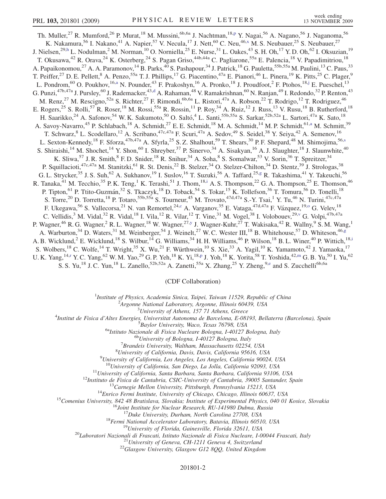<span id="page-3-9"></span><span id="page-3-8"></span><span id="page-3-6"></span><span id="page-3-4"></span><span id="page-3-0"></span>Th. Muller,<su[p](#page-8-6)>27</sup> R. Mumford,<sup>26</sup> P. Murat,<sup>18</sup> M. Mussini,<sup>6b,6a</sup> J. Nachtman,<sup>18,p</sup> Y. Nagai,<sup>56</sup> A. Nagano,<sup>56</sup> J. Naganoma,<sup>56</sup> K. Nakamura,<sup>56</sup> I. Nakano,<sup>41</sup> A. Napier,<sup>57</sup> V. Necula,<sup>17</sup> J. Nett,<sup>60</sup> C. Neu,<sup>46[,x](#page-8-14)</sup> M. S. Neubauer,<sup>25</sup> S. Neubauer,<sup>27</sup> J. Nielsen,<sup>29,[h](#page-8-15)</sup> L. Nodulman,<sup>2</sup> M. Norman,<sup>10</sup> O. Norniella,<sup>25</sup> E. Nurse,<sup>31</sup> L. Oakes,<sup>43</sup> S. H. Oh,<sup>17</sup> Y. D. Oh,<sup>62</sup> I. Oksuzian,<sup>19</sup> T. Okusawa,<sup>42</sup> R. Orava,<sup>24</sup> K. Osterberg,<sup>24</sup> S. Pagan Griso,<sup>44b,44a</sup> C. Pagliarone,<sup>55a</sup> E. Palencia,<sup>18</sup> V. Papadimitriou,<sup>18</sup> A. Papaikonomou,<sup>27</sup> A. A. Paramonov,<sup>14</sup> B. Parks,<sup>40</sup> S. Pashapour,<sup>34</sup> J. Patrick,<sup>18</sup> G. Pauletta,<sup>55b,55a</sup> M. Paulini,<sup>13</sup> C. Paus,<sup>33</sup> T. Peiffer,<sup>27</sup> D. E. Pellett,<sup>8</sup> A. Penzo,<sup>55a</sup> T. J. Phillips,<sup>17</sup> G. Piacentino,<sup>47a</sup> E. Pianori,<sup>46</sup> L. Pinera,<sup>19</sup> K. Pitts,<sup>25</sup> C. Plager,<sup>9</sup> L. Pondrom,<sup>60</sup> O. Poukhov,<sup>16,[a](#page-8-16)</sup> N. Pounder,<sup>43</sup> F. Prakoshyn,<sup>16</sup> A. Pronko,<sup>18</sup> J. Proudfoot,<sup>2</sup> F. Ptohos,<sup>18[,j](#page-8-17)</sup> E. Pueschel,<sup>13</sup> G. Punzi,<sup>47b,47a</sup> J. Pursley,<sup>60</sup> J. Ra[d](#page-8-7)emacker,<sup>43,d</sup> A. Rahaman,<sup>48</sup> V. Ramakrishnan,<sup>60</sup> N. Ranjan,<sup>49</sup> I. Redondo,<sup>32</sup> P. Renton,<sup>43</sup> M. Renz,<sup>27</sup> M. Rescigno,<sup>52a</sup> S. Richter,<sup>27</sup> F. Rimondi,<sup>6b,6a</sup> L. Ristori,<sup>47a</sup> A. Robson,<sup>22</sup> T. Rodrigo,<sup>12</sup> T. Rodriguez,<sup>46</sup> E. Rogers,<sup>25</sup> S. Rolli,<sup>57</sup> R. Roser,<sup>18</sup> M. Rossi,<sup>55a</sup> R. Rossin,<sup>11</sup> P. Roy,<sup>34</sup> A. Ruiz,<sup>12</sup> J. Russ,<sup>13</sup> V. Rusu,<sup>18</sup> B. Rutherford,<sup>18</sup> H. Saarikko,<sup>24</sup> A. Safonov,<sup>54</sup> W. K. Sakumoto,<sup>50</sup> O. Saltó,<sup>4</sup> L. Santi,<sup>55b,55a</sup> S. Sarkar,<sup>52b,52a</sup> L. Sartori,<sup>47a</sup> K. Sato,<sup>18</sup> A. S[a](#page-8-16)voy-Navarro,<sup>45</sup> P. Schlabach,<sup>18</sup> A. Schmidt,<sup>27</sup> E. E. Schmidt,<sup>18</sup> M. A. Schmidt,<sup>14</sup> M. P. Schmidt,<sup>61,a</sup> M. Schmitt,<sup>39</sup> T. Schwarz, <sup>8</sup> L. Scodellaro, <sup>12</sup> A. Scribano, <sup>47c, 47a</sup> F. Scuri, <sup>47a</sup> A. Sedov, <sup>49</sup> S. Seidel, <sup>38</sup> Y. Seiya, <sup>42</sup> A. Semenov, <sup>16</sup> L. Sexton-Kennedy,<[s](#page-8-18)up>18</sup> F. Sforza,<sup>47b,47a</sup> A. Sfyrla,<sup>25</sup> S. Z. Shalhout,<sup>59</sup> T. Shears,<sup>30</sup> P. F. Shepard,<sup>48</sup> M. Shimojima,<sup>56,s</sup> S. Shiraishi,<sup>14</sup> M. Shochet,<sup>14</sup> Y. Shon,<sup>60</sup> I. Shreyber,<sup>37</sup> P. Sinervo,<sup>34</sup> A. Sisakyan,<sup>16</sup> A. J. Slaughter,<sup>18</sup> J. Slaunwhite,<sup>40</sup> K. Sliwa,<sup>57</sup> J. R. Smith,<sup>8</sup> F. D. Snider,<sup>18</sup> R. Snihur,<sup>34</sup> A. Soha,<sup>8</sup> S. Somalwar,<sup>53</sup> V. Sorin,<sup>36</sup> T. Spreitzer,<sup>34</sup> P. Squillacioti,<sup>47c,47a</sup> M. Stanitzki,<sup>61</sup> R. St. Denis,<sup>22</sup> B. Stelzer,<sup>34</sup> O. Stelzer-Chilton,<sup>34</sup> D. Stentz,<sup>39</sup> J. Strologas,<sup>38</sup> G. L. Strycker,<sup>35</sup> J. S. Suh,<sup>62</sup> A. Sukhanov,<sup>19</sup> I. Suslov,<sup>16</sup> T. Suzuki,<sup>56</sup> A. Taffard,<sup>25[,g](#page-8-19)</sup> R. Takashima,<sup>41</sup> Y. Takeuchi,<sup>56</sup> R. Tanaka,<sup>41</sup> M. Tecch[i](#page-8-20)o,<sup>35</sup> P. K. Teng,<sup>1</sup> K. Terashi,<sup>51</sup> J. Thom,<sup>18,i</sup> A. S. Thompson,<sup>22</sup> G. A. Thompson,<sup>25</sup> E. Thomson,<sup>46</sup> P. Tipton,<sup>61</sup> P. Ttito-Guzmán,<sup>32</sup> S. Tkaczyk,<sup>18</sup> D. Toback,<sup>54</sup> S. Tokar,<sup>15</sup> K. Tollefson,<sup>36</sup> T. Tomura,<sup>56</sup> D. Tonelli,<sup>18</sup> S. Torre,<sup>20</sup> D. Torretta,<sup>18</sup> P. Totaro,<sup>55b,55a</sup> S. Tourneur,<sup>45</sup> M. Trovato,<sup>47d,47a</sup> S.-Y. Tsai,<sup>1</sup> Y. Tu,<sup>46</sup> N. Turini,<sup>47c,47a</sup> F. Ukegawa,<sup>56</sup> S. Vallecorsa,<sup>21</sup> N. van Remortel,<sup>24[,c](#page-8-21)</sup> A. Vargan[o](#page-8-4)v,<sup>35</sup> E. Vataga,<sup>47d,47a</sup> F. Vázquez,<sup>19,o</sup> G. Velev,<sup>18</sup> C. Vellidis,<sup>3</sup> M. Vidal,<sup>32</sup> R. Vidal,<sup>18</sup> I. Vila,<sup>12</sup> R. Vilar,<sup>12</sup> T. Vine,<sup>31</sup> M. Vogel,<sup>38</sup> I. Volobouev,<sup>29[,v](#page-8-10)</sup> G. Volpi,<sup>47b,47a</sup> P. Wagner,<sup>46</sup> R. G. Wagner,<sup>2</sup> R. L. Wagner,<sup>18</sup> W. Wagner,<sup>27[,y](#page-8-22)</sup> J. Wagner-Kuhr,<sup>27</sup> T. Wakisaka,<sup>42</sup> R. Wallny,<sup>9</sup> S. M. Wang,<sup>1</sup> A. Warburton,<sup>34</sup> D. Waters,<sup>31</sup> M. Weinber[g](#page-8-19)er,<sup>54</sup> J. Weinelt,<sup>27</sup> W. C. Wester III,<sup>18</sup> B. Whitehouse,<sup>57</sup> D. Whiteson,<sup>46,g</sup> A. B. W[i](#page-8-20)cklund,<sup>2</sup> E. Wicklund,<sup>18</sup> S. Wilbur,<sup>14</sup> G. Williams,<sup>34</sup> H. H. Williams,<sup>46</sup> P. Wilson,<sup>18</sup> B. L. Winer,<sup>40</sup> P. Wittich,<sup>18,i</sup> S. Wolbers,<sup>18</sup> C. Wolfe,<sup>14</sup> T. Wright,<sup>35</sup> X. Wu,<sup>21</sup> F. Würthwein,<sup>10</sup> S. Xie,<sup>33</sup> A. Yagil,<sup>10</sup> K. Yamamoto,<sup>42</sup> J. Yamaoka,<sup>17</sup> U. K. Yang, <sup>14,[r](#page-8-23)</sup> Y. C. Yang, <sup>62</sup> W. M. Yao, <sup>29</sup> G. P. Yeh, <sup>18</sup> K. Yi, <sup>18[,p](#page-8-6)</sup> J. Yoh, <sup>18</sup> K. Yorita, <sup>58</sup> T. Yoshida, <sup>42,[m](#page-8-24)</sup> G. B. Yu, <sup>50</sup> I. Yu, <sup>62</sup> S. S. Yu,<sup>18</sup> J. C. Yun,<sup>18</sup> L. Zanello,<sup>52b,52a</sup> A. Zanetti,<sup>55a</sup> X. Zhang,<sup>25</sup> Y. Zheng,<sup>9[,e](#page-8-25)</sup> and S. Zucchelli<sup>6b,6a</sup>

(CDF Collaboration)

<sup>1</sup>Institute of Physics, Academia Sinica, Taipei, Taiwan 11529, Republic of China<br><sup>2</sup>Argonna National Laboratory, Argonna Illinois 60430, USA

 $A$ rgonne National Laboratory, Argonne, Illinois 60439, USA<br> $3$ University of Athens, 157 71 Athens, Greece

<span id="page-3-10"></span><span id="page-3-7"></span><span id="page-3-5"></span><span id="page-3-3"></span><span id="page-3-2"></span><span id="page-3-1"></span><sup>5</sup> University of Athens, 157 71 Athens, Greece  $\frac{3}{4}$  University of Athens, 157 71 Athens, Greece

Institut de Fisica d'Altes Energies, Universitat Autonoma de Barcelona, E-08193, Bellaterra (Barcelona), Spain <sup>5</sup>

 $^{5}$ Baylor University, Waco, Texas 76798, USA<br><sup>6a</sup>Istituto Nazionale di Fisica Nucleare Bologna, I-40127 Bologna, Italy <sup>6b</sup>University of Bologna, I-40127 Bologna, Italy

 ${}^{7}$ Brandeis University, Waltham, Massachusetts 02254, USA

 ${}^{8}$ University of California, Davis, Davis, California 95616, USA

 $^{9}$ University of California, Los Angeles, Los Angeles, California 90024, USA

 $^{10}$ University of California, San Diego, La Jolla, California 92093, USA<br>  $^{11}$ University of California, Santa Barbara, Santa Barbara, California 93106, USA<br>  $^{12}$ Instituto de Fisica de Cantabria, CSIC-University of C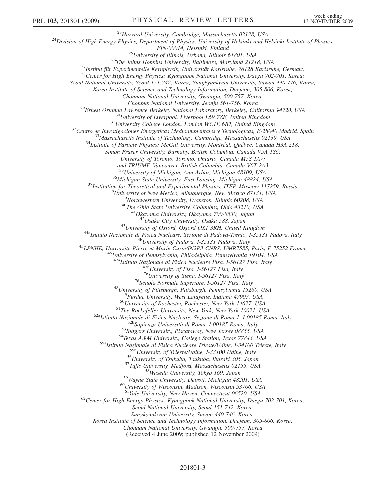<sup>23</sup>Harvard University, Cambridge, Massachusetts 02138, USA<br><sup>24</sup>Division of High Energy Physics, Department of Physics, University of Helsinki and Helsinki Institute of Physics, FIN-00014, Helsinki, Finland<br><sup>25</sup>University of Illinois, Urbana, Illinois 61801, USA<br><sup>26</sup>The Johns Hopkins University, Baltimore, Maryland 21218, USA<br><sup>27</sup>Institut für Experimentelle Kernphysik, Universität Karlsruhe, 76128 Seoul National University, Seoul 151-742, Korea; Sungkyunkwan University, Suwon 440-746, Korea; Korea Institute of Science and Technology Information, Daejeon, 305-806, Korea; Chonnam National University, Gwangju, 500-757, Korea; <sup>29</sup>Ernest Orlando Lawrence Berkeley National Laboratory, Berkeley, California 94720, USA<br><sup>30</sup>University of Liverpool, Liverpool L69 7ZE, United Kingdom<br><sup>31</sup>University College London, London WCIE 6BT, United Kingdom<br><sup>32</sup>C Simon Fraser University, Burnaby, British Columbia, Canada V5A 1S6; University of Toronto, Toronto, Ontario, Canada M5S 1A7; and TRIUMF, Vancouver, British Columbia, Canada V6T 2A3 <sup>35</sup> University of Michigan, Ann Arbor, Michigan 48109, USA<br><sup>36</sup> Michigan State University, East Lansing, Michigan 48824, USA<br><sup>37</sup> Institution for Theoretical and Experimental Physics, ITEP, Moscow 117259, Russia<br><sup>38</sup> Uni <sup>43</sup>University of Oxford, Oxford OX1 3RH, United Kingdom<br><sup>44a</sup>Istituto Nazionale di Fisica Nucleare, Sezione di Padova-Trento, I-35131 Padova, Italy<br><sup>44b</sup>University of Padova, I-35131 Padova, Italy<br><sup>45</sup>LPNHE, Universite P <sup>47b</sup>University of Pisa, I-56127 Pisa, Italy<br><sup>47c</sup>University of Siena, I-56127 Pisa, Italy<br><sup>47d</sup>Scuola Normale Superiore, I-56127 Pisa, Italy<br><sup>48</sup>University of Pittsburgh, Pittsburgh, Pennsylvania 15260, USA<br><sup>49</sup>Purdue Un <sup>49</sup>Purdue University, West Lafayette, Indiana 47907, USA<br><sup>50</sup>University of Rochester, Rochester, New York 14627, USA<br><sup>51</sup>The Rockefeller University, New York, New York 10021, USA<br><sup>52</sup>Natituto Nazionale di Fisica Nucleare <sup>61</sup>Yale University, New Haven, Connecticut 06520, USA<br><sup>62</sup>Center for High Energy Physics: Kyungpook National University, Daegu 702-701, Korea; Seoul National University, Seoul 151-742, Korea; Sungkyunkwan University, Suwon 440-746, Korea; Korea Institute of Science and Technology Information, Daejeon, 305-806, Korea; Chonnam National University, Gwangju, 500-757, Korea (Received 4 June 2009; published 12 November 2009) 201801-3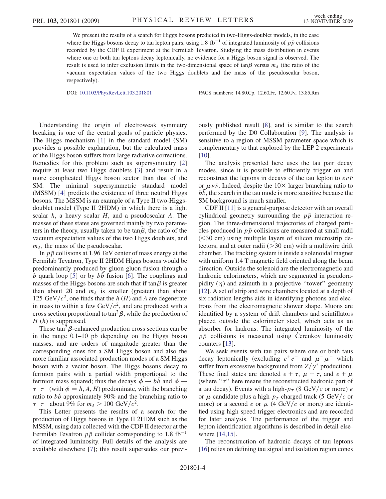We present the results of a search for Higgs bosons predicted in two-Higgs-doublet models, in the case where the Higgs bosons decay to tau lepton pairs, using 1.8 fb<sup>-1</sup> of integrated luminosity of  $p\bar{p}$  collisions recorded by the CDF II experiment at the Fermilab Tevatron. Studying the mass distribution in events where one or both tau leptons decay leptonically, no evidence for a Higgs boson signal is observed. The result is used to infer exclusion limits in the two-dimensional space of tan $\beta$  versus  $m_A$  (the ratio of the vacuum expectation values of the two Higgs doublets and the mass of the pseudoscalar boson, respectively).

DOI: [10.1103/PhysRevLett.103.201801](http://dx.doi.org/10.1103/PhysRevLett.103.201801) PACS numbers: 14.80.Cp, 12.60.Fr, 12.60.Jv, 13.85.Rm

Understanding the origin of electroweak symmetry breaking is one of the central goals of particle physics. The Higgs mechanism [\[1](#page-8-26)] in the standard model (SM) provides a possible explanation, but the calculated mass of the Higgs boson suffers from large radiative corrections. Remedies for this problem such as supersymmetry [\[2\]](#page-8-27) require at least two Higgs doublets [\[3\]](#page-8-28) and result in a more complicated Higgs boson sector than that of the SM. The minimal supersymmetric standard model (MSSM) [[4](#page-8-29)] predicts the existence of three neutral Higgs bosons. The MSSM is an example of a Type II two-Higgsdoublet model (Type II 2HDM) in which there is a light scalar  $h$ , a heavy scalar  $H$ , and a pseudoscalar  $A$ . The masses of these states are governed mainly by two parameters in the theory, usually taken to be  $tan \beta$ , the ratio of the vacuum expectation values of the two Higgs doublets, and  $m_A$ , the mass of the pseudoscalar.

In  $p\bar{p}$  collisions at 1.96 TeV center of mass energy at the Fermilab Tevatron, Type II 2HDM Higgs bosons would be predominantly produced by gluon-gluon fusion through a b quark loop [[5](#page-8-30)] or by bb fusion [\[6\]](#page-8-31). The couplings and masses of the Higgs bosons are such that if  $tan \beta$  is greater than about 20 and  $m_A$  is smaller (greater) than about 125 GeV/ $c^2$ , one finds that the h (H) and A are degenerate in mass to within a few  $GeV/c^2$ , and are produced with a cross section proportional to  $\tan^2\beta$ , while the production of  $H(h)$  is suppressed.

These  $tan^2\beta$ -enhanced production cross sections can be in the range 0.1–10 pb depending on the Higgs boson masses, and are orders of magnitude greater than the corresponding ones for a SM Higgs boson and also the more familiar associated production modes of a SM Higgs boson with a vector boson. The Higgs bosons decay to fermion pairs with a partial width proportional to the fermion mass squared; thus the decays  $\phi \rightarrow b\bar{b}$  and  $\phi \rightarrow$  $\tau^+ \tau^-$  (with  $\phi = h, A, H$ ) predominate, with the branching ratio to  $b\bar{b}$  approximately 90% and the branching ratio to  $\tau^+\tau^-$  about 9% for  $m_A > 100$  GeV/ $c^2$ .

This Letter presents the results of a search for the production of Higgs bosons in Type II 2HDM such as the MSSM, using data collected with the CDF II detector at the Fermilab Tevatron  $p\bar{p}$  collider corresponding to 1.8 fb<sup>-1</sup> of integrated luminosity. Full details of the analysis are available elsewhere [[7](#page-8-32)]; this result supersedes our previously published result [[8](#page-8-33)], and is similar to the search performed by the D0 Collaboration [\[9](#page-8-34)]. The analysis is sensitive to a region of MSSM parameter space which is complementary to that explored by the LEP 2 experiments [\[10\]](#page-8-35).

The analysis presented here uses the tau pair decay modes, since it is possible to efficiently trigger on and reconstruct the leptons in decays of the tau lepton to  $e\nu\bar{\nu}$ or  $\mu \nu \bar{\nu}$ . Indeed, despite the 10× larger branching ratio to bb, the search in the tau mode is more sensitive because the SM background is much smaller.

CDF II [\[11\]](#page-8-36) is a general-purpose detector with an overall cylindrical geometry surrounding the  $p\bar{p}$  interaction region. The three-dimensional trajectories of charged particles produced in  $p\bar{p}$  collisions are measured at small radii (<30 cm) using multiple layers of silicon microstrip detectors, and at outer radii  $(>30 \text{ cm})$  with a multiwire drift chamber. The tracking system is inside a solenoidal magnet with uniform 1.4 T magnetic field oriented along the beam direction. Outside the solenoid are the electromagnetic and hadronic calorimeters, which are segmented in pseudorapidity  $(\eta)$  and azimuth in a projective "tower" geometry [\[12\]](#page-8-37). A set of strip and wire chambers located at a depth of six radiation lengths aids in identifying photons and electrons from the electromagnetic shower shape. Muons are identified by a system of drift chambers and scintillators placed outside the calorimeter steel, which acts as an absorber for hadrons. The integrated luminosity of the  $p\bar{p}$  collisions is measured using Cerenkov luminosity counters [[13](#page-8-38)].

We seek events with tau pairs where one or both taus decay leptonically (excluding  $e^+e^-$  and  $\mu^+\mu^-$  which suffer from excessive background from  $Z/\gamma^*$  production). These final states are denoted  $e + \tau$ ,  $\mu + \tau$ , and  $e + \mu$ (where " $\tau$ " here means the reconstructed hadronic part of a tau decay). Events with a high- $p_T$  (8 GeV/c or more) e or  $\mu$  candidate plus a high- $p_T$  charged track (5 GeV/c or more) or a second e or  $\mu$  (4 GeV/c or more) are identified using high-speed trigger electronics and are recorded for later analysis. The performance of the trigger and lepton identification algorithms is described in detail elsewhere [\[14,](#page-9-0)[15\]](#page-9-1).

The reconstruction of hadronic decays of tau leptons [\[16\]](#page-9-2) relies on defining tau signal and isolation region cones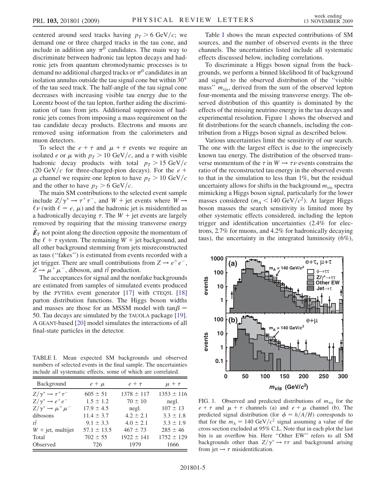centered around seed tracks having  $p<sub>T</sub> > 6$  GeV/c; we demand one or three charged tracks in the tau cone, and include in addition any  $\pi^0$  candidates. The main way to discriminate between hadronic tau lepton decays and hadronic jets from quantum chromodynamic processes is to demand no additional charged tracks or  $\pi^0$  candidates in an isolation annulus outside the tau signal cone but within 30 of the tau seed track. The half-angle of the tau signal cone decreases with increasing visible tau energy due to the Lorentz boost of the tau lepton, further aiding the discrimination of taus from jets. Additional suppression of hadronic jets comes from imposing a mass requirement on the tau candidate decay products. Electrons and muons are removed using information from the calorimeters and muon detectors.

To select the  $e + \tau$  and  $\mu + \tau$  events we require an isolated e or  $\mu$  with  $p_T > 10 \text{ GeV}/c$ , and a  $\tau$  with visible hadronic decay products with total  $p_T > 15 \text{ GeV}/c$ (20 GeV/c for three-charged-pion decays). For the  $e +$  $\mu$  channel we require one lepton to have  $p_T > 10 \text{ GeV}/c$ and the other to have  $p_T > 6$  GeV/c.

The main SM contributions to the selected event sample include  $Z/\gamma^* \rightarrow \tau^+ \tau^-$ , and  $W$  + jet events where  $W \rightarrow$  $\ell \nu$  (with  $\ell = e, \mu$ ) and the hadronic jet is misidentified as a hadronically decaying  $\tau$ . The  $W +$  jet events are largely removed by requiring that the missing transverse energy  $\vec{\mathbf{\emph{F}}}_T$  not point along the direction opposite the momentum of the  $\ell + \tau$  system. The remaining  $W +$  jet background, and all other background stemming from jets misreconstructed as taus (''fakes'') is estimated from events recorded with a jet trigger. There are small contributions from  $Z \rightarrow e^+e^-$ ,  $Z \rightarrow \mu^+ \mu^-$ , diboson, and  $t\bar{t}$  production.

The acceptances for signal and the nonfake backgrounds are estimated from samples of simulated events produced by the PYTHIA event generator [\[17\]](#page-9-3) with CTEQ5L [\[18\]](#page-9-4) parton distribution functions. The Higgs boson widths and masses are those for an MSSM model with  $tan \beta =$ 50. Tau decays are simulated by the TAUOLA package [[19\]](#page-9-5). A GEANT-based [\[20\]](#page-9-6) model simulates the interactions of all final-state particles in the detector.

<span id="page-6-0"></span>TABLE I. Mean expected SM backgrounds and observed numbers of selected events in the final sample. The uncertainties include all systematic effects, some of which are correlated.

| Background                             | $e + \mu$       | $e + \tau$     | $\mu + \tau$   |
|----------------------------------------|-----------------|----------------|----------------|
| $Z/\gamma^* \rightarrow \tau^+ \tau^-$ | $605 \pm 51$    | $1378 \pm 117$ | $1353 \pm 116$ |
| $Z/\gamma^* \rightarrow e^+e^-$        | $1.5 \pm 1.2$   | $70 \pm 10$    | negl.          |
| $Z/\gamma^* \rightarrow \mu^+\mu^-$    | $17.9 \pm 4.5$  | negl.          | $107 \pm 13$   |
| dibosons                               | $11.4 \pm 3.7$  | $4.2 \pm 2.1$  | $3.3 \pm 1.8$  |
| $t\bar{t}$                             | $9.1 \pm 3.3$   | $4.0 \pm 2.1$  | $3.3 \pm 1.9$  |
| $W + \text{jet}$ , multijet            | $57.1 \pm 13.5$ | $467 \pm 73$   | $285 \pm 46$   |
| Total                                  | $702 \pm 55$    | $1922 \pm 141$ | $1752 \pm 129$ |
| Observed                               | 726             | 1979           | 1666           |

Table [I](#page-6-0) shows the mean expected contributions of SM sources, and the number of observed events in the three channels. The uncertainties listed include all systematic effects discussed below, including correlations.

To discriminate a Higgs boson signal from the backgrounds, we perform a binned likelihood fit of background and signal to the observed distribution of the ''visible mass"  $m_{vis}$ , derived from the sum of the observed lepton four-momenta and the missing transverse energy. The observed distribution of this quantity is dominated by the effects of the missing neutrino energy in the tau decays and experimental resolution. Figure [1](#page-6-1) shows the observed and fit distributions for the search channels, including the contribution from a Higgs boson signal as described below.

Various uncertainties limit the sensitivity of our search. The one with the largest effect is due to the imprecisely known tau energy. The distribution of the observed transverse momentum of the  $\tau$  in  $W \rightarrow \tau \nu$  events constrains the ratio of the reconstructed tau energy in the observed events to that in the simulation to less than 1%, but the residual uncertainty allows for shifts in the background  $m_{vis}$  spectra mimicking a Higgs boson signal, particularly for the lower masses considered ( $m_A < 140 \text{ GeV}/c^2$ ). At larger Higgs boson masses the search sensitivity is limited more by other systematic effects considered, including the lepton trigger and identification uncertainties (2.4% for electrons, 2.7% for muons, and 4.2% for hadronically decaying taus), the uncertainty in the integrated luminosity (6%),

<span id="page-6-1"></span>

FIG. 1. Observed and predicted distributions of  $m_{\text{vis}}$  for the  $e + \tau$  and  $\mu + \tau$  channels (a) and  $e + \mu$  channel (b). The predicted signal distribution (for  $\phi = h/A/H$ ) corresponds to that for the  $m_A = 140 \text{ GeV}/c^2$  signal assuming a value of the cross section excluded at 95% C.L. Note that in each plot the last bin is an overflow bin. Here ''Other EW'' refers to all SM backgrounds other than  $Z/\gamma^* \rightarrow \tau \tau$  and background arising from jet  $\rightarrow \tau$  misidentification.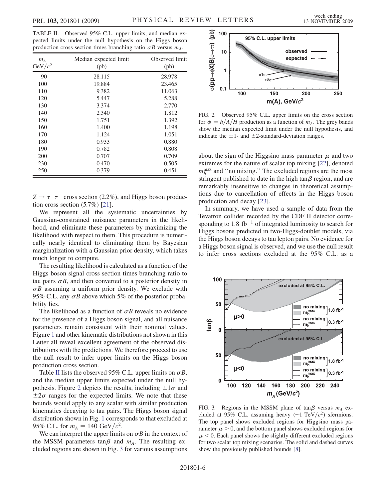<span id="page-7-0"></span>TABLE II. Observed 95% C.L. upper limits, and median expected limits under the null hypothesis on the Higgs boson production cross section times branching ratio  $\sigma B$  versus  $m_A$ .

| $m_A$<br>$GeV/c^2$ | Median expected limit<br>(pb) | Observed limit<br>(pb) |
|--------------------|-------------------------------|------------------------|
| 90                 | 28.115                        | 28.978                 |
| 100                | 19.884                        | 23.465                 |
| 110                | 9.382                         | 11.063                 |
| 120                | 5.447                         | 5.288                  |
| 130                | 3.374                         | 2.770                  |
| 140                | 2.340                         | 1.812                  |
| 150                | 1.751                         | 1.392                  |
| 160                | 1.400                         | 1.198                  |
| 170                | 1.124                         | 1.051                  |
| 180                | 0.933                         | 0.880                  |
| 190                | 0.782                         | 0.808                  |
| 200                | 0.707                         | 0.709                  |
| 230                | 0.470                         | 0.505                  |
| 250                | 0.379                         | 0.451                  |

 $Z \rightarrow \tau^+\tau^-$  cross section (2.2%), and Higgs boson production cross section  $(5.7\%)$  [\[21\]](#page-9-7).

We represent all the systematic uncertainties by Gaussian-constrained nuisance parameters in the likelihood, and eliminate these parameters by maximizing the likelihood with respect to them. This procedure is numerically nearly identical to eliminating them by Bayesian marginalization with a Gaussian prior density, which takes much longer to compute.

The resulting likelihood is calculated as a function of the Higgs boson signal cross section times branching ratio to tau pairs  $\sigma B$ , and then converted to a posterior density in  $\sigma B$  assuming a uniform prior density. We exclude with 95% C.L. any  $\sigma B$  above which 5% of the posterior probability lies.

The likelihood as a function of  $\sigma B$  reveals no evidence for the presence of a Higgs boson signal, and all nuisance parameters remain consistent with their nominal values. Figure [1](#page-6-1) and other kinematic distributions not shown in this Letter all reveal excellent agreement of the observed distributions with the predictions. We therefore proceed to use the null result to infer upper limits on the Higgs boson production cross section.

Table [II](#page-7-0) lists the observed 95% C.L. upper limits on  $\sigma B$ , and the median upper limits expected under the null hy-pothesis. Figure [2](#page-7-1) depicts the results, including  $\pm 1\sigma$  and  $\pm 2\sigma$  ranges for the expected limits. We note that these bounds would apply to any scalar with similar production kinematics decaying to tau pairs. The Higgs boson signal distribution shown in Fig. [1](#page-6-1) corresponds to that excluded at 95% C.L. for  $m_A = 140 \text{ GeV}/c^2$ .

We can interpret the upper limits on  $\sigma B$  in the context of the MSSM parameters tan $\beta$  and  $m_A$ . The resulting excluded regions are shown in Fig. [3](#page-7-2) for various assumptions

<span id="page-7-1"></span>

FIG. 2. Observed 95% C.L. upper limits on the cross section for  $\phi = h/A/H$  production as a function of  $m_A$ . The grey bands show the median expected limit under the null hypothesis, and indicate the  $\pm 1$ - and  $\pm 2$ -standard-deviation ranges.

about the sign of the Higgsino mass parameter  $\mu$  and two extremes for the nature of scalar top mixing [\[22\]](#page-9-8), denoted  $m_h^{\text{max}}$  and "no mixing." The excluded regions are the most stringent published to date in the high tan $\beta$  region, and are remarkably insensitive to changes in theoretical assumptions due to cancellation of effects in the Higgs boson production and decay [[23](#page-9-9)].

In summary, we have used a sample of data from the Tevatron collider recorded by the CDF II detector corresponding to 1.8 fb<sup>-1</sup> of integrated luminosity to search for Higgs bosons predicted in two-Higgs-doublet models, via the Higgs boson decays to tau lepton pairs. No evidence for a Higgs boson signal is observed, and we use the null result to infer cross sections excluded at the 95% C.L. as a

<span id="page-7-2"></span>

FIG. 3. Regions in the MSSM plane of tan $\beta$  versus  $m_A$  excluded at 95% C.L. assuming heavy ( $\sim$ 1 TeV/ $c^2$ ) sfermions. The top panel shows excluded regions for Higgsino mass parameter  $\mu > 0$ , and the bottom panel shows excluded regions for  $\mu$  < 0. Each panel shows the slightly different excluded regions for two scalar top mixing scenarios. The solid and dashed curves show the previously published bounds [[8](#page-8-33)].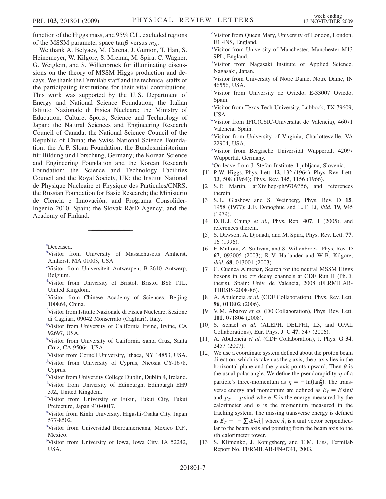function of the Higgs mass, and 95% C.L. excluded regions of the MSSM parameter space  $tan \beta$  versus  $m_A$ .

We thank A. Belyaev, M. Carena, J. Gunion, T. Han, S. Heinemeyer, W. Kilgore, S. Mrenna, M. Spira, C. Wagner, G. Weiglein, and S. Willenbrock for illuminating discussions on the theory of MSSM Higgs production and decays. We thank the Fermilab staff and the technical staffs of the participating institutions for their vital contributions. This work was supported by the U. S. Department of Energy and National Science Foundation; the Italian Istituto Nazionale di Fisica Nucleare; the Ministry of Education, Culture, Sports, Science and Technology of Japan; the Natural Sciences and Engineering Research Council of Canada; the National Science Council of the Republic of China; the Swiss National Science Foundation; the A. P. Sloan Foundation; the Bundesministerium für Bildung und Forschung, Germany; the Korean Science and Engineering Foundation and the Korean Research Foundation; the Science and Technology Facilities Council and the Royal Society, UK; the Institut National de Physique Nucleaire et Physique des Particules/CNRS; the Russian Foundation for Basic Research; the Ministerio de Ciencia e Innovación, and Programa Consolider-Ingenio 2010, Spain; the Slovak R&D Agency; and the Academy of Finland.

<span id="page-8-16"></span><span id="page-8-2"></span>[a](#page-3-0) Deceased.

- [b](#page-2-0)Visitor from University of Massachusetts Amherst, Amherst, MA 01003, USA.
- <span id="page-8-21"></span>[c](#page-3-1) Visitor from Universiteit Antwerpen, B-2610 Antwerp, Belgium.
- <span id="page-8-7"></span>[d](#page-2-1) Visitor from University of Bristol, Bristol BS8 1TL, United Kingdom.
- <span id="page-8-25"></span>[e](#page-3-2) Visitor from Chinese Academy of Sciences, Beijing 100864, China.
- <span id="page-8-11"></span>[f](#page-2-2) Visitor from Istituto Nazionale di Fisica Nucleare, Sezione di Cagliari, 09042 Monserrato (Cagliari), Italy.
- <span id="page-8-19"></span>[g](#page-3-3) Visitor from University of California Irvine, Irvine, CA 92697, USA.
- <span id="page-8-15"></span>[h](#page-3-4) Visitor from University of California Santa Cruz, Santa Cruz, CA 95064, USA.
- <span id="page-8-20"></span><span id="page-8-17"></span><sup>[i](#page-3-5)</sup>Visitor from Cornell University, Ithaca, NY 14853, USA.
- [j](#page-3-6) Visitor from University of Cyprus, Nicosia CY-1678, Cyprus.
- <span id="page-8-13"></span><span id="page-8-12"></span>[k](#page-2-3) Visitor from University College Dublin, Dublin 4, Ireland.
- <sup>1</sup>Visitor from University of Edinburgh, Edinburgh EH9 3JZ, United Kingdom.
- <span id="page-8-24"></span>[mV](#page-3-7)isitor from University of Fukui, Fukui City, Fukui Prefecture, Japan 910-0017.
- <span id="page-8-8"></span>[n](#page-2-5) Visitor from Kinki University, Higashi-Osaka City, Japan 577-8502.
- <span id="page-8-4"></span><sup>[o](#page-2-6)</sup>Visitor from Universidad Iberoamericana, Mexico D.F., Mexico.
- <span id="page-8-6"></span>[p](#page-2-7) Visitor from University of Iowa, Iowa City, IA 52242, USA.

<span id="page-8-5"></span><sup>[q](#page-2-8)</sup>Visitor from Queen Mary, University of London, London, E1 4NS, England.

- <span id="page-8-23"></span>[r](#page-3-7) Visitor from University of Manchester, Manchester M13 9PL, England.
- <span id="page-8-18"></span>[s](#page-3-8) Visitor from Nagasaki Institute of Applied Science, Nagasaki, Japan.
- <span id="page-8-9"></span>[t](#page-2-9) Visitor from University of Notre Dame, Notre Dame, IN 46556, USA.
- <span id="page-8-0"></span><s[u](#page-2-10)p>u</sup>Visitor from University de Oviedo, E-33007 Oviedo, Spain.
- <span id="page-8-10"></span>[v](#page-2-11) Visitor from Texas Tech University, Lubbock, TX 79609, USA.
- <span id="page-8-3"></span>[wV](#page-2-10)isitor from IFIC(CSIC-Universitat de Valencia), 46071 Valencia, Spain.
- <span id="page-8-14"></span>[x](#page-3-9) Visitor from University of Virginia, Charlottesville, VA 22904, USA.
- <span id="page-8-22"></span>visitor from Bergische Universität Wuppertal, 42097 Wuppertal, Germany.
- <span id="page-8-1"></span><sup>[z](#page-2-12)</sup>On leave from J. Stefan Institute, Ljubljana, Slovenia.
- <span id="page-8-26"></span>[1] P. W. Higgs, Phys. Lett. **12**, 132 (1964); Phys. Rev. Lett. 13, 508 (1964); Phys. Rev. 145, 1156 (1966).
- <span id="page-8-27"></span>[2] S. P. Martin, arXiv:hep-ph/9709356, and references therein.
- <span id="page-8-28"></span>[3] S.L. Glashow and S. Weinberg, Phys. Rev. D 15, 1958 (1977); J. F. Donoghue and L. F. Li, ibid. 19, 945 (1979).
- <span id="page-8-29"></span>[4] D. H. J. Chung et al., Phys. Rep. 407, 1 (2005), and references therein.
- <span id="page-8-30"></span>[5] S. Dawson, A. Djouadi, and M. Spira, Phys. Rev. Lett. 77, 16 (1996).
- <span id="page-8-31"></span>[6] F. Maltoni, Z. Sullivan, and S. Willenbrock, Phys. Rev. D 67, 093005 (2003); R. V. Harlander and W. B. Kilgore, ibid. 68, 013001 (2003).
- <span id="page-8-32"></span>[7] C. Cuenca Almenar, Search for the neutral MSSM Higgs bosons in the  $\tau\tau$  decay channels at CDF Run II (Ph.D. thesis), Spain: Univ. de Valencia, 2008 (FERMILAB-THESIS-2008-86).
- <span id="page-8-33"></span>[8] A. Abulencia et al. (CDF Collaboration), Phys. Rev. Lett. 96, 011802 (2006).
- <span id="page-8-34"></span>[9] V. M. Abazov et al. (D0 Collaboration), Phys. Rev. Lett. 101, 071804 (2008).
- <span id="page-8-35"></span>[10] S. Schael et al. (ALEPH, DELPHI, L3, and OPAL Collaborations), Eur. Phys. J. C 47, 547 (2006).
- <span id="page-8-36"></span>[11] A. Abulencia et al. (CDF Collaboration), J. Phys. G 34, 2457 (2007).
- <span id="page-8-37"></span>[12] We use a coordinate system defined about the proton beam direction, which is taken as the z axis; the x axis lies in the horizontal plane and the y axis points upward. Then  $\theta$  is the usual polar angle. We define the pseudorapidity  $\eta$  of a particle's three-momentum as  $\eta \equiv -\ln(\tan^{\theta}_{2})$ . The transverse energy and momentum are defined as  $E_T = E \sin \theta$ and  $p_T = p \sin \theta$  where E is the energy measured by the calorimeter and  $p$  is the momentum measured in the tracking system. The missing transverse energy is defined as  $\not \! \! E_T = \left| - \sum_i E_T^i \vec{n}_i \right|$  where  $\vec{n}_i$  is a unit vector perpendicular to the beam axis and pointing from the beam axis to the ith calorimeter tower.
- <span id="page-8-38"></span>[13] S. Klimenko, J. Konigsberg, and T. M. Liss, Fermilab Report No. FERMILAB-FN-0741, 2003.